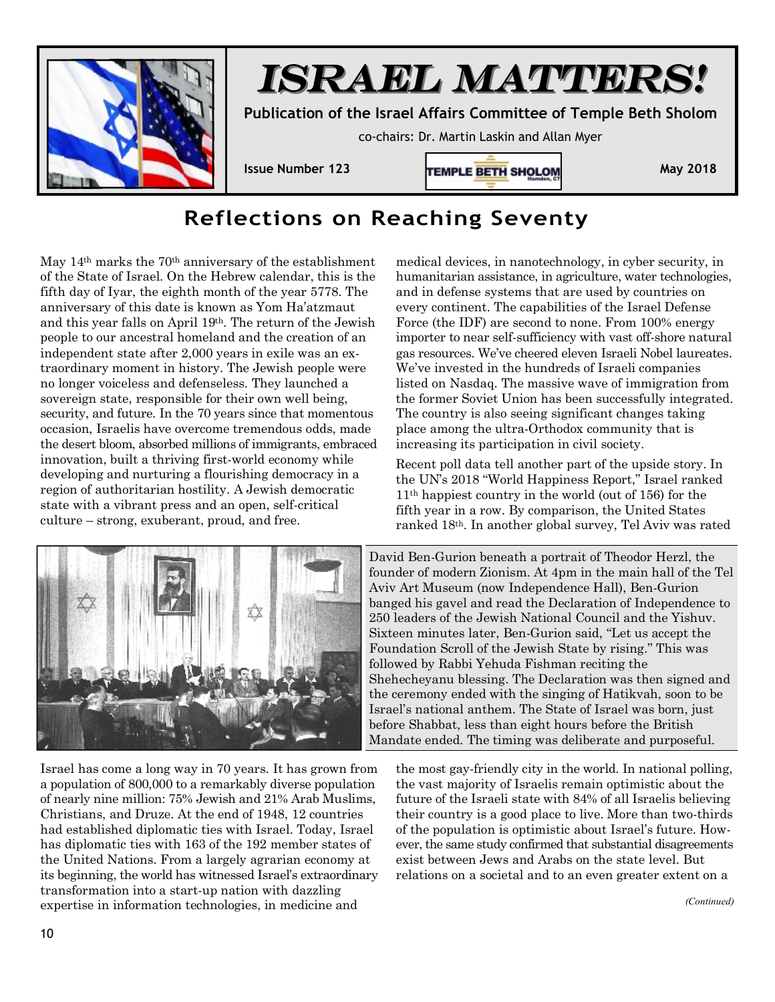

## *ISRAEL MATTERS!*

**Publication of the Israel Affairs Committee of Temple Beth Sholom** 

co-chairs: Dr. Martin Laskin and Allan Myer



## **Reflections on Reaching Seventy**

May 14<sup>th</sup> marks the 70<sup>th</sup> anniversary of the establishment of the State of Israel. On the Hebrew calendar, this is the fifth day of Iyar, the eighth month of the year 5778. The anniversary of this date is known as Yom Ha'atzmaut and this year falls on April 19th. The return of the Jewish people to our ancestral homeland and the creation of an independent state after 2,000 years in exile was an extraordinary moment in history. The Jewish people were no longer voiceless and defenseless. They launched a sovereign state, responsible for their own well being, security, and future. In the 70 years since that momentous occasion, Israelis have overcome tremendous odds, made the desert bloom, absorbed millions of immigrants, embraced innovation, built a thriving first-world economy while developing and nurturing a flourishing democracy in a region of authoritarian hostility. A Jewish democratic state with a vibrant press and an open, self-critical culture – strong, exuberant, proud, and free.

medical devices, in nanotechnology, in cyber security, in humanitarian assistance, in agriculture, water technologies, and in defense systems that are used by countries on every continent. The capabilities of the Israel Defense Force (the IDF) are second to none. From 100% energy importer to near self-sufficiency with vast off-shore natural gas resources. We've cheered eleven Israeli Nobel laureates. We've invested in the hundreds of Israeli companies listed on Nasdaq. The massive wave of immigration from the former Soviet Union has been successfully integrated. The country is also seeing significant changes taking place among the ultra-Orthodox community that is increasing its participation in civil society.

Recent poll data tell another part of the upside story. In the UN's 2018 "World Happiness Report," Israel ranked 11th happiest country in the world (out of 156) for the fifth year in a row. By comparison, the United States ranked 18th. In another global survey, Tel Aviv was rated



David Ben-Gurion beneath a portrait of Theodor Herzl, the founder of modern Zionism. At 4pm in the main hall of the Tel Aviv Art Museum (now Independence Hall), Ben-Gurion banged his gavel and read the Declaration of Independence to 250 leaders of the Jewish National Council and the Yishuv. Sixteen minutes later, Ben-Gurion said, "Let us accept the Foundation Scroll of the Jewish State by rising." This was followed by Rabbi Yehuda Fishman reciting the Shehecheyanu blessing. The Declaration was then signed and the ceremony ended with the singing of Hatikvah, soon to be Israel's national anthem. The State of Israel was born, just before Shabbat, less than eight hours before the British Mandate ended. The timing was deliberate and purposeful.

Israel has come a long way in 70 years. It has grown from a population of 800,000 to a remarkably diverse population of nearly nine million: 75% Jewish and 21% Arab Muslims, Christians, and Druze. At the end of 1948, 12 countries had established diplomatic ties with Israel. Today, Israel has diplomatic ties with 163 of the 192 member states of the United Nations. From a largely agrarian economy at its beginning, the world has witnessed Israel's extraordinary transformation into a start-up nation with dazzling expertise in information technologies, in medicine and

the most gay-friendly city in the world. In national polling, the vast majority of Israelis remain optimistic about the future of the Israeli state with 84% of all Israelis believing their country is a good place to live. More than two-thirds of the population is optimistic about Israel's future. However, the same study confirmed that substantial disagreements exist between Jews and Arabs on the state level. But relations on a societal and to an even greater extent on a